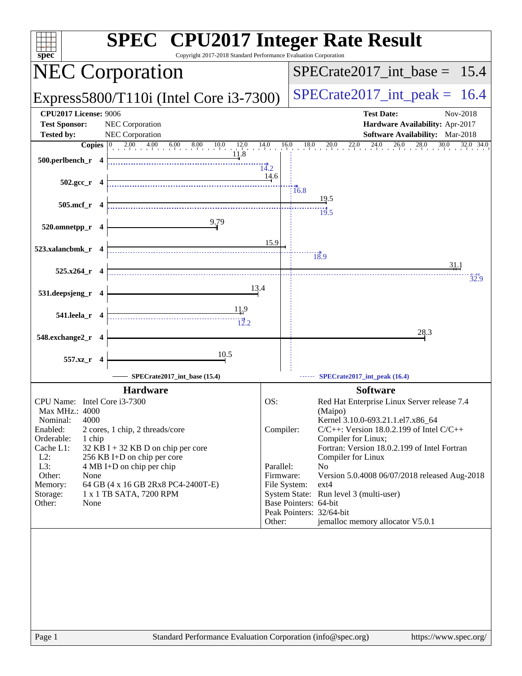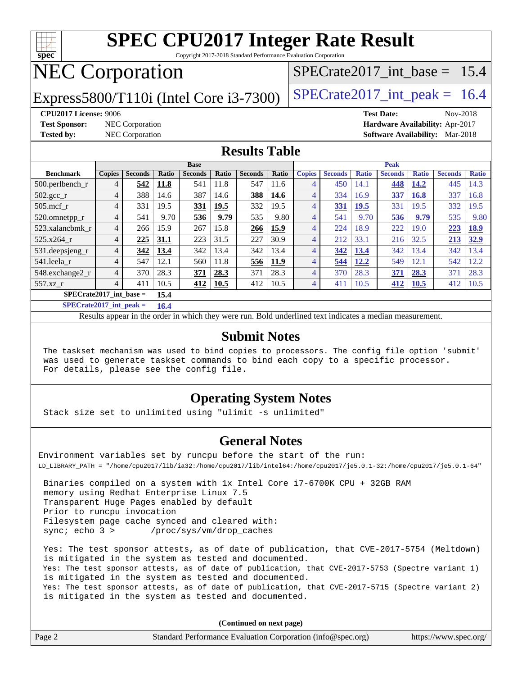

Copyright 2017-2018 Standard Performance Evaluation Corporation

# NEC Corporation

Express5800/T110i (Intel Core  $i3-7300$ ) [SPECrate2017\\_int\\_peak =](http://www.spec.org/auto/cpu2017/Docs/result-fields.html#SPECrate2017intpeak) 16.4

SPECrate2017 int\_base =  $15.4$ 

**[CPU2017 License:](http://www.spec.org/auto/cpu2017/Docs/result-fields.html#CPU2017License)** 9006 **[Test Date:](http://www.spec.org/auto/cpu2017/Docs/result-fields.html#TestDate)** Nov-2018 **[Test Sponsor:](http://www.spec.org/auto/cpu2017/Docs/result-fields.html#TestSponsor)** NEC Corporation **[Hardware Availability:](http://www.spec.org/auto/cpu2017/Docs/result-fields.html#HardwareAvailability)** Apr-2017

**[Tested by:](http://www.spec.org/auto/cpu2017/Docs/result-fields.html#Testedby)** NEC Corporation **[Software Availability:](http://www.spec.org/auto/cpu2017/Docs/result-fields.html#SoftwareAvailability)** Mar-2018

#### **[Results Table](http://www.spec.org/auto/cpu2017/Docs/result-fields.html#ResultsTable)**

|                           | <b>Base</b>    |                |       |                |              |                |              | <b>Peak</b>    |                |              |                |              |                |              |
|---------------------------|----------------|----------------|-------|----------------|--------------|----------------|--------------|----------------|----------------|--------------|----------------|--------------|----------------|--------------|
| <b>Benchmark</b>          | <b>Copies</b>  | <b>Seconds</b> | Ratio | <b>Seconds</b> | <b>Ratio</b> | <b>Seconds</b> | <b>Ratio</b> | <b>Copies</b>  | <b>Seconds</b> | <b>Ratio</b> | <b>Seconds</b> | <b>Ratio</b> | <b>Seconds</b> | <b>Ratio</b> |
| $500$ .perlbench r        | 4              | 542            | 11.8  | 541            | 11.8         | 547            | 11.6         | 4              | 450            | 14.1         | 448            | 14.2         | 445            | 14.3         |
| $502.\text{gcc}$          | $\overline{4}$ | 388            | 14.6  | 387            | 14.6         | 388            | 14.6         | 4              | 334            | 16.9         | 337            | 16.8         | 337            | 16.8         |
| $505$ .mcf r              | 4              | 331            | 19.5  | <u>331</u>     | 19.5         | 332            | 19.5         | 4              | <b>331</b>     | <u>19.5</u>  | 331            | 19.5         | 332            | 19.5         |
| 520.omnetpp_r             | 4              | 541            | 9.70  | 536            | 9.79         | 535            | 9.80         | 4              | 541            | 9.70         | 536            | 9.79         | 535            | 9.80         |
| 523.xalancbmk r           | $\overline{4}$ | 266            | 15.9  | 267            | 15.8         | 266            | 15.9         | 4              | 224            | 18.9         | 222            | 19.0         | 223            | 18.9         |
| 525.x264 r                | $\overline{4}$ | 225            | 31.1  | 223            | 31.5         | 227            | 30.9         | 4              | 212            | 33.1         | 216            | 32.5         | 213            | 32.9         |
| 531.deepsjeng_r           | $\overline{4}$ | 342            | 13.4  | 342            | 13.4         | 342            | 13.4         | 4              | 342            | 13.4         | 342            | 13.4         | 342            | 13.4         |
| 541.leela r               | 4              | 547            | 12.1  | 560            | 11.8         | 556            | 11.9         | $\overline{4}$ | 544            | 12.2         | 549            | 12.1         | 542            | 12.2         |
| 548.exchange2_r           | 4              | 370            | 28.3  | 371            | 28.3         | 371            | 28.3         | 4              | 370            | 28.3         | 371            | 28.3         | 371            | 28.3         |
| 557.xz r                  | 4              | 411            | 10.5  | 412            | 10.5         | 412            | 10.5         | 4              | 411            | 10.5         | 412            | <b>10.5</b>  | 412            | 10.5         |
| $SPECrate2017$ int base = | 15.4           |                |       |                |              |                |              |                |                |              |                |              |                |              |

**[SPECrate2017\\_int\\_peak =](http://www.spec.org/auto/cpu2017/Docs/result-fields.html#SPECrate2017intpeak) 16.4**

Results appear in the [order in which they were run.](http://www.spec.org/auto/cpu2017/Docs/result-fields.html#RunOrder) Bold underlined text [indicates a median measurement.](http://www.spec.org/auto/cpu2017/Docs/result-fields.html#Median)

#### **[Submit Notes](http://www.spec.org/auto/cpu2017/Docs/result-fields.html#SubmitNotes)**

 The taskset mechanism was used to bind copies to processors. The config file option 'submit' was used to generate taskset commands to bind each copy to a specific processor. For details, please see the config file.

### **[Operating System Notes](http://www.spec.org/auto/cpu2017/Docs/result-fields.html#OperatingSystemNotes)**

Stack size set to unlimited using "ulimit -s unlimited"

#### **[General Notes](http://www.spec.org/auto/cpu2017/Docs/result-fields.html#GeneralNotes)**

Environment variables set by runcpu before the start of the run: LD\_LIBRARY\_PATH = "/home/cpu2017/lib/ia32:/home/cpu2017/lib/intel64:/home/cpu2017/je5.0.1-32:/home/cpu2017/je5.0.1-64"

 Binaries compiled on a system with 1x Intel Core i7-6700K CPU + 32GB RAM memory using Redhat Enterprise Linux 7.5 Transparent Huge Pages enabled by default Prior to runcpu invocation Filesystem page cache synced and cleared with: sync; echo 3 > /proc/sys/vm/drop\_caches

 Yes: The test sponsor attests, as of date of publication, that CVE-2017-5754 (Meltdown) is mitigated in the system as tested and documented. Yes: The test sponsor attests, as of date of publication, that CVE-2017-5753 (Spectre variant 1) is mitigated in the system as tested and documented. Yes: The test sponsor attests, as of date of publication, that CVE-2017-5715 (Spectre variant 2) is mitigated in the system as tested and documented.

**(Continued on next page)**

| Page 2 | Standard Performance Evaluation Corporation (info@spec.org) | https://www.spec.org/ |
|--------|-------------------------------------------------------------|-----------------------|
|        |                                                             |                       |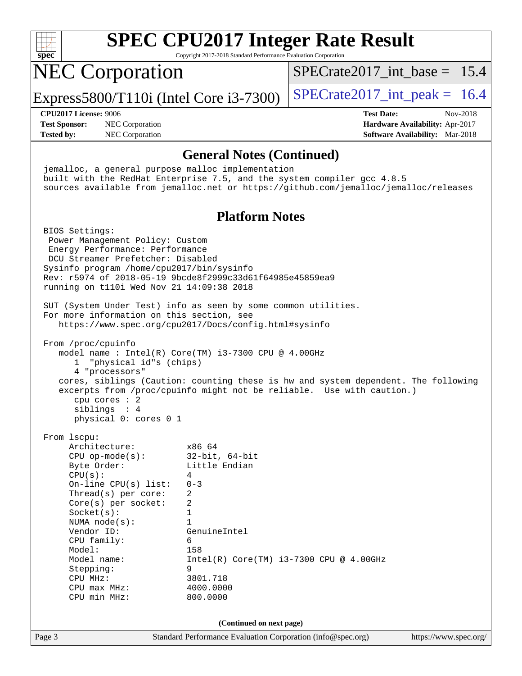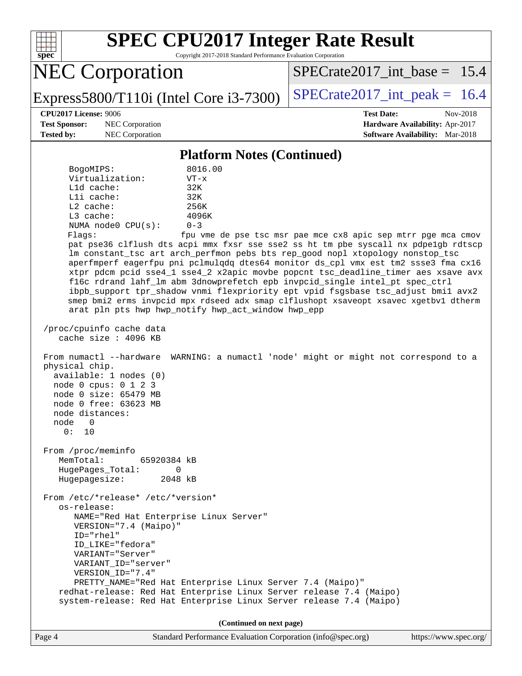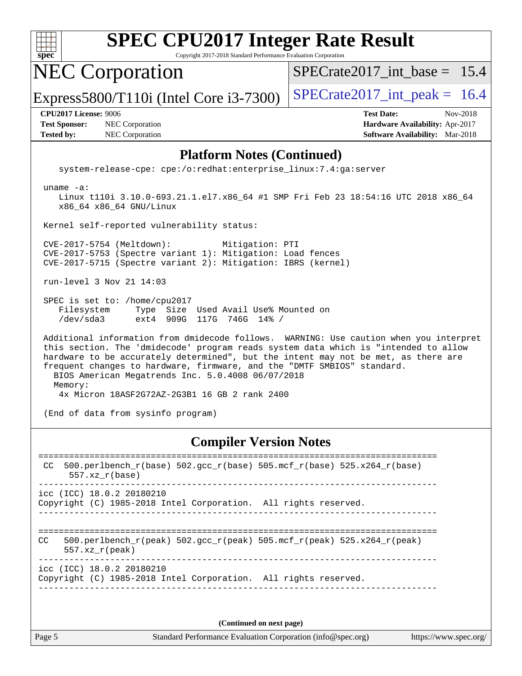

Copyright 2017-2018 Standard Performance Evaluation Corporation

NEC Corporation

[SPECrate2017\\_int\\_base =](http://www.spec.org/auto/cpu2017/Docs/result-fields.html#SPECrate2017intbase) 15.4

Express5800/T110i (Intel Core  $i3-7300$ ) [SPECrate2017\\_int\\_peak =](http://www.spec.org/auto/cpu2017/Docs/result-fields.html#SPECrate2017intpeak) 16.4

**[Test Sponsor:](http://www.spec.org/auto/cpu2017/Docs/result-fields.html#TestSponsor)** NEC Corporation **[Hardware Availability:](http://www.spec.org/auto/cpu2017/Docs/result-fields.html#HardwareAvailability)** Apr-2017 **[Tested by:](http://www.spec.org/auto/cpu2017/Docs/result-fields.html#Testedby)** NEC Corporation **[Software Availability:](http://www.spec.org/auto/cpu2017/Docs/result-fields.html#SoftwareAvailability)** Mar-2018

**[CPU2017 License:](http://www.spec.org/auto/cpu2017/Docs/result-fields.html#CPU2017License)** 9006 **[Test Date:](http://www.spec.org/auto/cpu2017/Docs/result-fields.html#TestDate)** Nov-2018

#### **[Platform Notes \(Continued\)](http://www.spec.org/auto/cpu2017/Docs/result-fields.html#PlatformNotes)**

system-release-cpe: cpe:/o:redhat:enterprise\_linux:7.4:ga:server

uname -a:

 Linux t110i 3.10.0-693.21.1.el7.x86\_64 #1 SMP Fri Feb 23 18:54:16 UTC 2018 x86\_64 x86\_64 x86\_64 GNU/Linux

Kernel self-reported vulnerability status:

 CVE-2017-5754 (Meltdown): Mitigation: PTI CVE-2017-5753 (Spectre variant 1): Mitigation: Load fences CVE-2017-5715 (Spectre variant 2): Mitigation: IBRS (kernel)

run-level 3 Nov 21 14:03

 SPEC is set to: /home/cpu2017 Filesystem Type Size Used Avail Use% Mounted on /dev/sda3 ext4 909G 117G 746G 14% /

 Additional information from dmidecode follows. WARNING: Use caution when you interpret this section. The 'dmidecode' program reads system data which is "intended to allow hardware to be accurately determined", but the intent may not be met, as there are frequent changes to hardware, firmware, and the "DMTF SMBIOS" standard. BIOS American Megatrends Inc. 5.0.4008 06/07/2018 Memory: 4x Micron 18ASF2G72AZ-2G3B1 16 GB 2 rank 2400

(End of data from sysinfo program)

#### **[Compiler Version Notes](http://www.spec.org/auto/cpu2017/Docs/result-fields.html#CompilerVersionNotes)**

============================================================================== CC 500.perlbench\_r(base)  $502.\text{gcc}_r(\text{base})$  505.mcf\_r(base) 525.x264\_r(base) 557.xz\_r(base) ----------------------------------------------------------------------------- icc (ICC) 18.0.2 20180210 Copyright (C) 1985-2018 Intel Corporation. All rights reserved. ------------------------------------------------------------------------------ ============================================================================== CC 500.perlbench r(peak) 502.gcc r(peak) 505.mcf r(peak) 525.x264 r(peak) 557.xz\_r(peak) ----------------------------------------------------------------------------- icc (ICC) 18.0.2 20180210 Copyright (C) 1985-2018 Intel Corporation. All rights reserved. ------------------------------------------------------------------------------

**(Continued on next page)**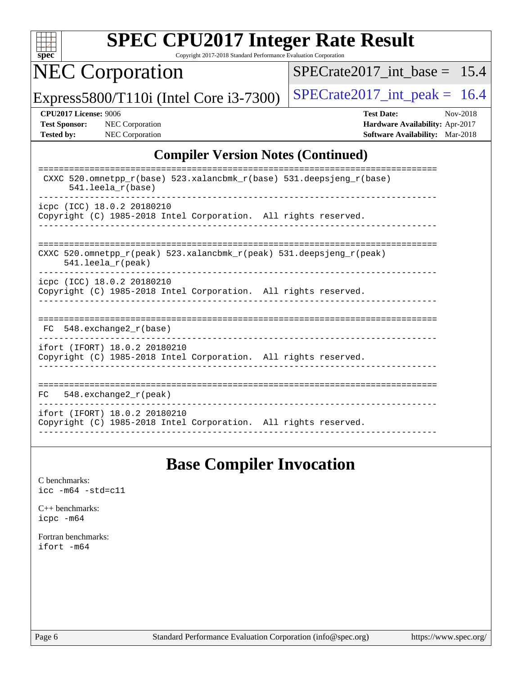

Copyright 2017-2018 Standard Performance Evaluation Corporation

NEC Corporation

 $SPECTate2017\_int\_base = 15.4$ 

Express5800/T110i (Intel Core i3-7300)  $\vert$  [SPECrate2017\\_int\\_peak =](http://www.spec.org/auto/cpu2017/Docs/result-fields.html#SPECrate2017intpeak) 16.4

**[CPU2017 License:](http://www.spec.org/auto/cpu2017/Docs/result-fields.html#CPU2017License)** 9006 **[Test Date:](http://www.spec.org/auto/cpu2017/Docs/result-fields.html#TestDate)** Nov-2018 **[Test Sponsor:](http://www.spec.org/auto/cpu2017/Docs/result-fields.html#TestSponsor)** NEC Corporation **[Hardware Availability:](http://www.spec.org/auto/cpu2017/Docs/result-fields.html#HardwareAvailability)** Apr-2017 **[Tested by:](http://www.spec.org/auto/cpu2017/Docs/result-fields.html#Testedby)** NEC Corporation **[Software Availability:](http://www.spec.org/auto/cpu2017/Docs/result-fields.html#SoftwareAvailability)** Mar-2018

### **[Compiler Version Notes \(Continued\)](http://www.spec.org/auto/cpu2017/Docs/result-fields.html#CompilerVersionNotes)**

| CXXC 520.omnetpp $r(base)$ 523.xalancbmk $r(base)$ 531.deepsjeng $r(base)$<br>$541.$ leela r(base)                      |
|-------------------------------------------------------------------------------------------------------------------------|
| icpc (ICC) 18.0.2 20180210<br>Copyright (C) 1985-2018 Intel Corporation. All rights reserved.                           |
| CXXC 520.omnetpp $r(\text{peak})$ 523.xalancbmk $r(\text{peak})$ 531.deepsjeng $r(\text{peak})$<br>$541.$ leela r(peak) |
| icpc (ICC) 18.0.2 20180210<br>Copyright (C) 1985-2018 Intel Corporation. All rights reserved.                           |
| 548.exchange2 r(base)<br>FC.                                                                                            |
| ifort (IFORT) 18.0.2 20180210<br>Copyright (C) 1985-2018 Intel Corporation. All rights reserved.                        |
| $548$ .exchange2 $r$ (peak)<br>FC.                                                                                      |
| ifort (IFORT) 18.0.2 20180210<br>Copyright (C) 1985-2018 Intel Corporation. All rights reserved.                        |

## **[Base Compiler Invocation](http://www.spec.org/auto/cpu2017/Docs/result-fields.html#BaseCompilerInvocation)**

[C benchmarks](http://www.spec.org/auto/cpu2017/Docs/result-fields.html#Cbenchmarks): [icc -m64 -std=c11](http://www.spec.org/cpu2017/results/res2018q4/cpu2017-20181126-09856.flags.html#user_CCbase_intel_icc_64bit_c11_33ee0cdaae7deeeab2a9725423ba97205ce30f63b9926c2519791662299b76a0318f32ddfffdc46587804de3178b4f9328c46fa7c2b0cd779d7a61945c91cd35)

[C++ benchmarks:](http://www.spec.org/auto/cpu2017/Docs/result-fields.html#CXXbenchmarks) [icpc -m64](http://www.spec.org/cpu2017/results/res2018q4/cpu2017-20181126-09856.flags.html#user_CXXbase_intel_icpc_64bit_4ecb2543ae3f1412ef961e0650ca070fec7b7afdcd6ed48761b84423119d1bf6bdf5cad15b44d48e7256388bc77273b966e5eb805aefd121eb22e9299b2ec9d9)

[Fortran benchmarks](http://www.spec.org/auto/cpu2017/Docs/result-fields.html#Fortranbenchmarks): [ifort -m64](http://www.spec.org/cpu2017/results/res2018q4/cpu2017-20181126-09856.flags.html#user_FCbase_intel_ifort_64bit_24f2bb282fbaeffd6157abe4f878425411749daecae9a33200eee2bee2fe76f3b89351d69a8130dd5949958ce389cf37ff59a95e7a40d588e8d3a57e0c3fd751)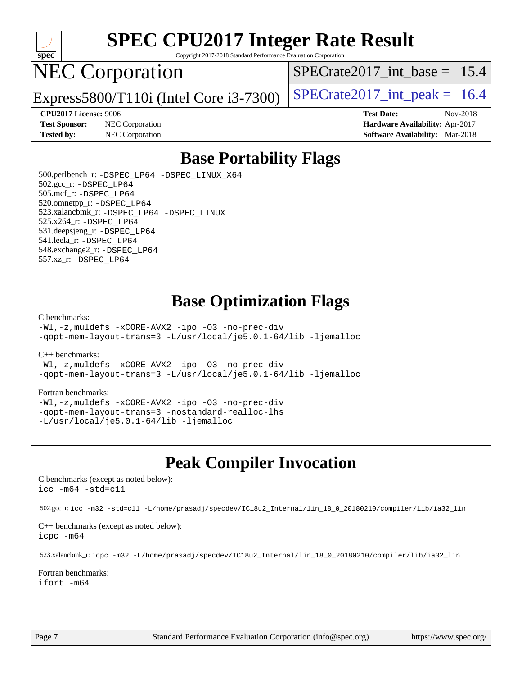

Copyright 2017-2018 Standard Performance Evaluation Corporation

## NEC Corporation

SPECrate2017 int\_base =  $15.4$ 

Express5800/T110i (Intel Core  $i3-7300$ ) [SPECrate2017\\_int\\_peak =](http://www.spec.org/auto/cpu2017/Docs/result-fields.html#SPECrate2017intpeak) 16.4

**[Test Sponsor:](http://www.spec.org/auto/cpu2017/Docs/result-fields.html#TestSponsor)** NEC Corporation **[Hardware Availability:](http://www.spec.org/auto/cpu2017/Docs/result-fields.html#HardwareAvailability)** Apr-2017

**[CPU2017 License:](http://www.spec.org/auto/cpu2017/Docs/result-fields.html#CPU2017License)** 9006 **[Test Date:](http://www.spec.org/auto/cpu2017/Docs/result-fields.html#TestDate)** Nov-2018 **[Tested by:](http://www.spec.org/auto/cpu2017/Docs/result-fields.html#Testedby)** NEC Corporation **[Software Availability:](http://www.spec.org/auto/cpu2017/Docs/result-fields.html#SoftwareAvailability)** Mar-2018

## **[Base Portability Flags](http://www.spec.org/auto/cpu2017/Docs/result-fields.html#BasePortabilityFlags)**

 500.perlbench\_r: [-DSPEC\\_LP64](http://www.spec.org/cpu2017/results/res2018q4/cpu2017-20181126-09856.flags.html#b500.perlbench_r_basePORTABILITY_DSPEC_LP64) [-DSPEC\\_LINUX\\_X64](http://www.spec.org/cpu2017/results/res2018q4/cpu2017-20181126-09856.flags.html#b500.perlbench_r_baseCPORTABILITY_DSPEC_LINUX_X64) 502.gcc\_r: [-DSPEC\\_LP64](http://www.spec.org/cpu2017/results/res2018q4/cpu2017-20181126-09856.flags.html#suite_basePORTABILITY502_gcc_r_DSPEC_LP64) 505.mcf\_r: [-DSPEC\\_LP64](http://www.spec.org/cpu2017/results/res2018q4/cpu2017-20181126-09856.flags.html#suite_basePORTABILITY505_mcf_r_DSPEC_LP64) 520.omnetpp\_r: [-DSPEC\\_LP64](http://www.spec.org/cpu2017/results/res2018q4/cpu2017-20181126-09856.flags.html#suite_basePORTABILITY520_omnetpp_r_DSPEC_LP64) 523.xalancbmk\_r: [-DSPEC\\_LP64](http://www.spec.org/cpu2017/results/res2018q4/cpu2017-20181126-09856.flags.html#suite_basePORTABILITY523_xalancbmk_r_DSPEC_LP64) [-DSPEC\\_LINUX](http://www.spec.org/cpu2017/results/res2018q4/cpu2017-20181126-09856.flags.html#b523.xalancbmk_r_baseCXXPORTABILITY_DSPEC_LINUX) 525.x264\_r: [-DSPEC\\_LP64](http://www.spec.org/cpu2017/results/res2018q4/cpu2017-20181126-09856.flags.html#suite_basePORTABILITY525_x264_r_DSPEC_LP64) 531.deepsjeng\_r: [-DSPEC\\_LP64](http://www.spec.org/cpu2017/results/res2018q4/cpu2017-20181126-09856.flags.html#suite_basePORTABILITY531_deepsjeng_r_DSPEC_LP64) 541.leela\_r: [-DSPEC\\_LP64](http://www.spec.org/cpu2017/results/res2018q4/cpu2017-20181126-09856.flags.html#suite_basePORTABILITY541_leela_r_DSPEC_LP64) 548.exchange2\_r: [-DSPEC\\_LP64](http://www.spec.org/cpu2017/results/res2018q4/cpu2017-20181126-09856.flags.html#suite_basePORTABILITY548_exchange2_r_DSPEC_LP64) 557.xz\_r: [-DSPEC\\_LP64](http://www.spec.org/cpu2017/results/res2018q4/cpu2017-20181126-09856.flags.html#suite_basePORTABILITY557_xz_r_DSPEC_LP64)

## **[Base Optimization Flags](http://www.spec.org/auto/cpu2017/Docs/result-fields.html#BaseOptimizationFlags)**

#### [C benchmarks](http://www.spec.org/auto/cpu2017/Docs/result-fields.html#Cbenchmarks):

[-Wl,-z,muldefs](http://www.spec.org/cpu2017/results/res2018q4/cpu2017-20181126-09856.flags.html#user_CCbase_link_force_multiple1_b4cbdb97b34bdee9ceefcfe54f4c8ea74255f0b02a4b23e853cdb0e18eb4525ac79b5a88067c842dd0ee6996c24547a27a4b99331201badda8798ef8a743f577) [-xCORE-AVX2](http://www.spec.org/cpu2017/results/res2018q4/cpu2017-20181126-09856.flags.html#user_CCbase_f-xCORE-AVX2) [-ipo](http://www.spec.org/cpu2017/results/res2018q4/cpu2017-20181126-09856.flags.html#user_CCbase_f-ipo) [-O3](http://www.spec.org/cpu2017/results/res2018q4/cpu2017-20181126-09856.flags.html#user_CCbase_f-O3) [-no-prec-div](http://www.spec.org/cpu2017/results/res2018q4/cpu2017-20181126-09856.flags.html#user_CCbase_f-no-prec-div) [-qopt-mem-layout-trans=3](http://www.spec.org/cpu2017/results/res2018q4/cpu2017-20181126-09856.flags.html#user_CCbase_f-qopt-mem-layout-trans_de80db37974c74b1f0e20d883f0b675c88c3b01e9d123adea9b28688d64333345fb62bc4a798493513fdb68f60282f9a726aa07f478b2f7113531aecce732043) [-L/usr/local/je5.0.1-64/lib](http://www.spec.org/cpu2017/results/res2018q4/cpu2017-20181126-09856.flags.html#user_CCbase_jemalloc_link_path64_4b10a636b7bce113509b17f3bd0d6226c5fb2346b9178c2d0232c14f04ab830f976640479e5c33dc2bcbbdad86ecfb6634cbbd4418746f06f368b512fced5394) [-ljemalloc](http://www.spec.org/cpu2017/results/res2018q4/cpu2017-20181126-09856.flags.html#user_CCbase_jemalloc_link_lib_d1249b907c500fa1c0672f44f562e3d0f79738ae9e3c4a9c376d49f265a04b9c99b167ecedbf6711b3085be911c67ff61f150a17b3472be731631ba4d0471706)

#### [C++ benchmarks:](http://www.spec.org/auto/cpu2017/Docs/result-fields.html#CXXbenchmarks)

[-Wl,-z,muldefs](http://www.spec.org/cpu2017/results/res2018q4/cpu2017-20181126-09856.flags.html#user_CXXbase_link_force_multiple1_b4cbdb97b34bdee9ceefcfe54f4c8ea74255f0b02a4b23e853cdb0e18eb4525ac79b5a88067c842dd0ee6996c24547a27a4b99331201badda8798ef8a743f577) [-xCORE-AVX2](http://www.spec.org/cpu2017/results/res2018q4/cpu2017-20181126-09856.flags.html#user_CXXbase_f-xCORE-AVX2) [-ipo](http://www.spec.org/cpu2017/results/res2018q4/cpu2017-20181126-09856.flags.html#user_CXXbase_f-ipo) [-O3](http://www.spec.org/cpu2017/results/res2018q4/cpu2017-20181126-09856.flags.html#user_CXXbase_f-O3) [-no-prec-div](http://www.spec.org/cpu2017/results/res2018q4/cpu2017-20181126-09856.flags.html#user_CXXbase_f-no-prec-div) [-qopt-mem-layout-trans=3](http://www.spec.org/cpu2017/results/res2018q4/cpu2017-20181126-09856.flags.html#user_CXXbase_f-qopt-mem-layout-trans_de80db37974c74b1f0e20d883f0b675c88c3b01e9d123adea9b28688d64333345fb62bc4a798493513fdb68f60282f9a726aa07f478b2f7113531aecce732043) [-L/usr/local/je5.0.1-64/lib](http://www.spec.org/cpu2017/results/res2018q4/cpu2017-20181126-09856.flags.html#user_CXXbase_jemalloc_link_path64_4b10a636b7bce113509b17f3bd0d6226c5fb2346b9178c2d0232c14f04ab830f976640479e5c33dc2bcbbdad86ecfb6634cbbd4418746f06f368b512fced5394) [-ljemalloc](http://www.spec.org/cpu2017/results/res2018q4/cpu2017-20181126-09856.flags.html#user_CXXbase_jemalloc_link_lib_d1249b907c500fa1c0672f44f562e3d0f79738ae9e3c4a9c376d49f265a04b9c99b167ecedbf6711b3085be911c67ff61f150a17b3472be731631ba4d0471706)

#### [Fortran benchmarks](http://www.spec.org/auto/cpu2017/Docs/result-fields.html#Fortranbenchmarks):

[-Wl,-z,muldefs](http://www.spec.org/cpu2017/results/res2018q4/cpu2017-20181126-09856.flags.html#user_FCbase_link_force_multiple1_b4cbdb97b34bdee9ceefcfe54f4c8ea74255f0b02a4b23e853cdb0e18eb4525ac79b5a88067c842dd0ee6996c24547a27a4b99331201badda8798ef8a743f577) [-xCORE-AVX2](http://www.spec.org/cpu2017/results/res2018q4/cpu2017-20181126-09856.flags.html#user_FCbase_f-xCORE-AVX2) [-ipo](http://www.spec.org/cpu2017/results/res2018q4/cpu2017-20181126-09856.flags.html#user_FCbase_f-ipo) [-O3](http://www.spec.org/cpu2017/results/res2018q4/cpu2017-20181126-09856.flags.html#user_FCbase_f-O3) [-no-prec-div](http://www.spec.org/cpu2017/results/res2018q4/cpu2017-20181126-09856.flags.html#user_FCbase_f-no-prec-div) [-qopt-mem-layout-trans=3](http://www.spec.org/cpu2017/results/res2018q4/cpu2017-20181126-09856.flags.html#user_FCbase_f-qopt-mem-layout-trans_de80db37974c74b1f0e20d883f0b675c88c3b01e9d123adea9b28688d64333345fb62bc4a798493513fdb68f60282f9a726aa07f478b2f7113531aecce732043) [-nostandard-realloc-lhs](http://www.spec.org/cpu2017/results/res2018q4/cpu2017-20181126-09856.flags.html#user_FCbase_f_2003_std_realloc_82b4557e90729c0f113870c07e44d33d6f5a304b4f63d4c15d2d0f1fab99f5daaed73bdb9275d9ae411527f28b936061aa8b9c8f2d63842963b95c9dd6426b8a) [-L/usr/local/je5.0.1-64/lib](http://www.spec.org/cpu2017/results/res2018q4/cpu2017-20181126-09856.flags.html#user_FCbase_jemalloc_link_path64_4b10a636b7bce113509b17f3bd0d6226c5fb2346b9178c2d0232c14f04ab830f976640479e5c33dc2bcbbdad86ecfb6634cbbd4418746f06f368b512fced5394) [-ljemalloc](http://www.spec.org/cpu2017/results/res2018q4/cpu2017-20181126-09856.flags.html#user_FCbase_jemalloc_link_lib_d1249b907c500fa1c0672f44f562e3d0f79738ae9e3c4a9c376d49f265a04b9c99b167ecedbf6711b3085be911c67ff61f150a17b3472be731631ba4d0471706)

## **[Peak Compiler Invocation](http://www.spec.org/auto/cpu2017/Docs/result-fields.html#PeakCompilerInvocation)**

[C benchmarks \(except as noted below\)](http://www.spec.org/auto/cpu2017/Docs/result-fields.html#Cbenchmarksexceptasnotedbelow): [icc -m64 -std=c11](http://www.spec.org/cpu2017/results/res2018q4/cpu2017-20181126-09856.flags.html#user_CCpeak_intel_icc_64bit_c11_33ee0cdaae7deeeab2a9725423ba97205ce30f63b9926c2519791662299b76a0318f32ddfffdc46587804de3178b4f9328c46fa7c2b0cd779d7a61945c91cd35)

502.gcc\_r: [icc -m32 -std=c11 -L/home/prasadj/specdev/IC18u2\\_Internal/lin\\_18\\_0\\_20180210/compiler/lib/ia32\\_lin](http://www.spec.org/cpu2017/results/res2018q4/cpu2017-20181126-09856.flags.html#user_peakCCLD502_gcc_r_intel_icc_a481ac844e7127046fad14d498c730a1848fa901fbbb2c3dfdd5e9fbbac777c8009953946d55d8b6afe8ed0da70dd2b4f8dedbdf7ab1ee211ba70d24a5d89f85)

[C++ benchmarks \(except as noted below\):](http://www.spec.org/auto/cpu2017/Docs/result-fields.html#CXXbenchmarksexceptasnotedbelow) [icpc -m64](http://www.spec.org/cpu2017/results/res2018q4/cpu2017-20181126-09856.flags.html#user_CXXpeak_intel_icpc_64bit_4ecb2543ae3f1412ef961e0650ca070fec7b7afdcd6ed48761b84423119d1bf6bdf5cad15b44d48e7256388bc77273b966e5eb805aefd121eb22e9299b2ec9d9)

523.xalancbmk\_r: [icpc -m32 -L/home/prasadj/specdev/IC18u2\\_Internal/lin\\_18\\_0\\_20180210/compiler/lib/ia32\\_lin](http://www.spec.org/cpu2017/results/res2018q4/cpu2017-20181126-09856.flags.html#user_peakCXXLD523_xalancbmk_r_intel_icpc_c6d030cd79af6ea7d6fb64c57e8fe7ae8fe0b96fc5a3b3f4a10e3273b3d7fa9decd8263f6330cef23f751cb093a69fae84a2bf4c243500a8eed069248128076f)

[Fortran benchmarks](http://www.spec.org/auto/cpu2017/Docs/result-fields.html#Fortranbenchmarks): [ifort -m64](http://www.spec.org/cpu2017/results/res2018q4/cpu2017-20181126-09856.flags.html#user_FCpeak_intel_ifort_64bit_24f2bb282fbaeffd6157abe4f878425411749daecae9a33200eee2bee2fe76f3b89351d69a8130dd5949958ce389cf37ff59a95e7a40d588e8d3a57e0c3fd751)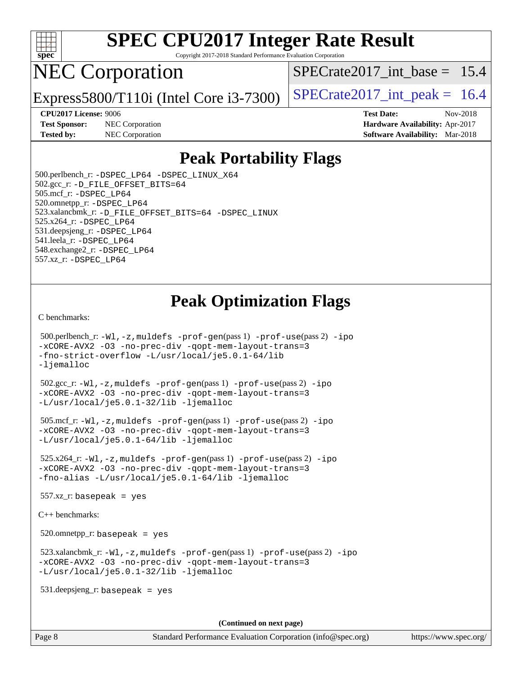

Copyright 2017-2018 Standard Performance Evaluation Corporation

## NEC Corporation

SPECrate2017 int\_base =  $15.4$ 

Express5800/T110i (Intel Core  $i3-7300$ ) [SPECrate2017\\_int\\_peak =](http://www.spec.org/auto/cpu2017/Docs/result-fields.html#SPECrate2017intpeak) 16.4

**[CPU2017 License:](http://www.spec.org/auto/cpu2017/Docs/result-fields.html#CPU2017License)** 9006 **[Test Date:](http://www.spec.org/auto/cpu2017/Docs/result-fields.html#TestDate)** Nov-2018 **[Test Sponsor:](http://www.spec.org/auto/cpu2017/Docs/result-fields.html#TestSponsor)** NEC Corporation **[Hardware Availability:](http://www.spec.org/auto/cpu2017/Docs/result-fields.html#HardwareAvailability)** Apr-2017 **[Tested by:](http://www.spec.org/auto/cpu2017/Docs/result-fields.html#Testedby)** NEC Corporation **[Software Availability:](http://www.spec.org/auto/cpu2017/Docs/result-fields.html#SoftwareAvailability)** Mar-2018

## **[Peak Portability Flags](http://www.spec.org/auto/cpu2017/Docs/result-fields.html#PeakPortabilityFlags)**

 500.perlbench\_r: [-DSPEC\\_LP64](http://www.spec.org/cpu2017/results/res2018q4/cpu2017-20181126-09856.flags.html#b500.perlbench_r_peakPORTABILITY_DSPEC_LP64) [-DSPEC\\_LINUX\\_X64](http://www.spec.org/cpu2017/results/res2018q4/cpu2017-20181126-09856.flags.html#b500.perlbench_r_peakCPORTABILITY_DSPEC_LINUX_X64) 502.gcc\_r: [-D\\_FILE\\_OFFSET\\_BITS=64](http://www.spec.org/cpu2017/results/res2018q4/cpu2017-20181126-09856.flags.html#user_peakPORTABILITY502_gcc_r_file_offset_bits_64_5ae949a99b284ddf4e95728d47cb0843d81b2eb0e18bdfe74bbf0f61d0b064f4bda2f10ea5eb90e1dcab0e84dbc592acfc5018bc955c18609f94ddb8d550002c) 505.mcf\_r: [-DSPEC\\_LP64](http://www.spec.org/cpu2017/results/res2018q4/cpu2017-20181126-09856.flags.html#suite_peakPORTABILITY505_mcf_r_DSPEC_LP64) 520.omnetpp\_r: [-DSPEC\\_LP64](http://www.spec.org/cpu2017/results/res2018q4/cpu2017-20181126-09856.flags.html#suite_peakPORTABILITY520_omnetpp_r_DSPEC_LP64) 523.xalancbmk\_r: [-D\\_FILE\\_OFFSET\\_BITS=64](http://www.spec.org/cpu2017/results/res2018q4/cpu2017-20181126-09856.flags.html#user_peakPORTABILITY523_xalancbmk_r_file_offset_bits_64_5ae949a99b284ddf4e95728d47cb0843d81b2eb0e18bdfe74bbf0f61d0b064f4bda2f10ea5eb90e1dcab0e84dbc592acfc5018bc955c18609f94ddb8d550002c) [-DSPEC\\_LINUX](http://www.spec.org/cpu2017/results/res2018q4/cpu2017-20181126-09856.flags.html#b523.xalancbmk_r_peakCXXPORTABILITY_DSPEC_LINUX) 525.x264\_r: [-DSPEC\\_LP64](http://www.spec.org/cpu2017/results/res2018q4/cpu2017-20181126-09856.flags.html#suite_peakPORTABILITY525_x264_r_DSPEC_LP64) 531.deepsjeng\_r: [-DSPEC\\_LP64](http://www.spec.org/cpu2017/results/res2018q4/cpu2017-20181126-09856.flags.html#suite_peakPORTABILITY531_deepsjeng_r_DSPEC_LP64) 541.leela\_r: [-DSPEC\\_LP64](http://www.spec.org/cpu2017/results/res2018q4/cpu2017-20181126-09856.flags.html#suite_peakPORTABILITY541_leela_r_DSPEC_LP64) 548.exchange2\_r: [-DSPEC\\_LP64](http://www.spec.org/cpu2017/results/res2018q4/cpu2017-20181126-09856.flags.html#suite_peakPORTABILITY548_exchange2_r_DSPEC_LP64) 557.xz\_r: [-DSPEC\\_LP64](http://www.spec.org/cpu2017/results/res2018q4/cpu2017-20181126-09856.flags.html#suite_peakPORTABILITY557_xz_r_DSPEC_LP64)

## **[Peak Optimization Flags](http://www.spec.org/auto/cpu2017/Docs/result-fields.html#PeakOptimizationFlags)**

[C benchmarks](http://www.spec.org/auto/cpu2017/Docs/result-fields.html#Cbenchmarks):

```
 500.perlbench_r: -Wl,-z,muldefs -prof-gen(pass 1) -prof-use(pass 2) -ipo
-xCORE-AVX2 -O3 -no-prec-div -qopt-mem-layout-trans=3
-fno-strict-overflow -L/usr/local/je5.0.1-64/lib
-ljemalloc
 502.gcc_r: -Wl,-z,muldefs -prof-gen(pass 1) -prof-use(pass 2) -ipo
-xCORE-AVX2 -O3 -no-prec-div -qopt-mem-layout-trans=3
-L/usr/local/je5.0.1-32/lib -ljemalloc
 505.mcf_r: -Wl,-z,muldefs -prof-gen(pass 1) -prof-use(pass 2) -ipo
-xCORE-AVX2 -O3 -no-prec-div -qopt-mem-layout-trans=3
-L/usr/local/je5.0.1-64/lib -ljemalloc
 525.x264_r: -Wl,-z,muldefs -prof-gen(pass 1) -prof-use(pass 2) -ipo
-xCORE-AVX2 -O3 -no-prec-div -qopt-mem-layout-trans=3
-fno-alias -L/usr/local/je5.0.1-64/lib -ljemalloc
 557.xz_r: basepeak = yes
C++ benchmarks: 
 520.omnetpp_r: basepeak = yes
 523.xalancbmk_r: -Wl,-z,muldefs -prof-gen(pass 1) -prof-use(pass 2) -ipo
-xCORE-AVX2 -O3 -no-prec-div -qopt-mem-layout-trans=3
-L/usr/local/je5.0.1-32/lib -ljemalloc
 531.deepsjeng_r: basepeak = yes
                                       (Continued on next page)
```